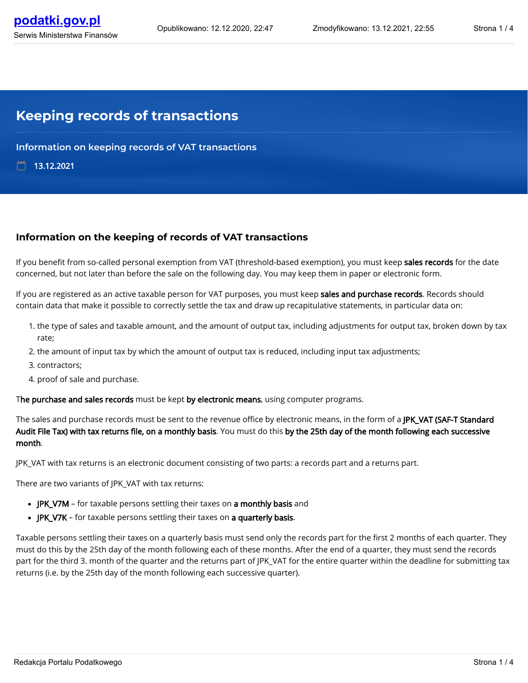## **Keeping records of transactions**

**Information on keeping records of VAT transactions**

13.12.2021

#### **Information on the keeping of records of VAT transactions**

If you benefit from so-called personal exemption from VAT (threshold-based exemption), you must keep sales records for the date concerned, but not later than before the sale on the following day. You may keep them in paper or electronic form.

If you are registered as an active taxable person for VAT purposes, you must keep sales and purchase records. Records should contain data that make it possible to correctly settle the tax and draw up recapitulative statements, in particular data on:

- 1. the type of sales and taxable amount, and the amount of output tax, including adjustments for output tax, broken down by tax rate;
- 2. the amount of input tax by which the amount of output tax is reduced, including input tax adjustments;
- 3. contractors;
- 4. proof of sale and purchase.

The purchase and sales records must be kept by electronic means, using computer programs.

The sales and purchase records must be sent to the revenue office by electronic means, in the form of a JPK\_VAT (SAF-T Standard Audit File Tax) with tax returns file, on a monthly basis. You must do this by the 25th day of the month following each successive month.

JPK\_VAT with tax returns is an electronic document consisting of two parts: a records part and a returns part.

There are two variants of JPK\_VAT with tax returns:

- JPK\_V7M for taxable persons settling their taxes on a monthly basis and
- JPK\_V7K for taxable persons settling their taxes on a quarterly basis.

Taxable persons settling their taxes on a quarterly basis must send only the records part for the first 2 months of each quarter. They must do this by the 25th day of the month following each of these months. After the end of a quarter, they must send the records part for the third 3. month of the quarter and the returns part of JPK\_VAT for the entire quarter within the deadline for submitting tax returns (i.e. by the 25th day of the month following each successive quarter).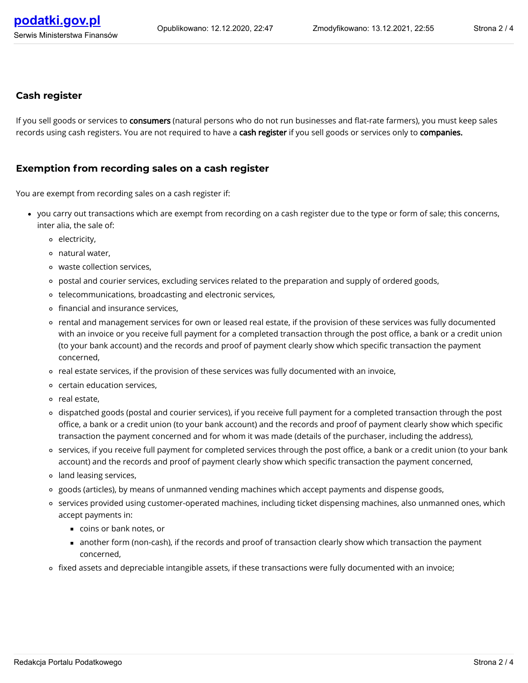#### **Cash register**

If you sell goods or services to consumers (natural persons who do not run businesses and flat-rate farmers), you must keep sales records using cash registers. You are not required to have a cash register if you sell goods or services only to companies.

#### **Exemption from recording sales on a cash register**

You are exempt from recording sales on a cash register if:

- you carry out transactions which are exempt from recording on a cash register due to the type or form of sale; this concerns, inter alia, the sale of:
	- electricity,
	- natural water,
	- waste collection services,
	- postal and courier services, excluding services related to the preparation and supply of ordered goods,
	- telecommunications, broadcasting and electronic services,
	- o financial and insurance services,
	- rental and management services for own or leased real estate, if the provision of these services was fully documented with an invoice or you receive full payment for a completed transaction through the post office, a bank or a credit union (to your bank account) and the records and proof of payment clearly show which specific transaction the payment concerned,
	- $\circ$  real estate services, if the provision of these services was fully documented with an invoice,
	- certain education services,
	- o real estate,
	- dispatched goods (postal and courier services), if you receive full payment for a completed transaction through the post office, a bank or a credit union (to your bank account) and the records and proof of payment clearly show which specific transaction the payment concerned and for whom it was made (details of the purchaser, including the address),
	- o services, if you receive full payment for completed services through the post office, a bank or a credit union (to your bank account) and the records and proof of payment clearly show which specific transaction the payment concerned,
	- land leasing services,
	- o goods (articles), by means of unmanned vending machines which accept payments and dispense goods,
	- services provided using customer-operated machines, including ticket dispensing machines, also unmanned ones, which accept payments in:
		- coins or bank notes, or
		- another form (non-cash), if the records and proof of transaction clearly show which transaction the payment concerned,
	- o fixed assets and depreciable intangible assets, if these transactions were fully documented with an invoice;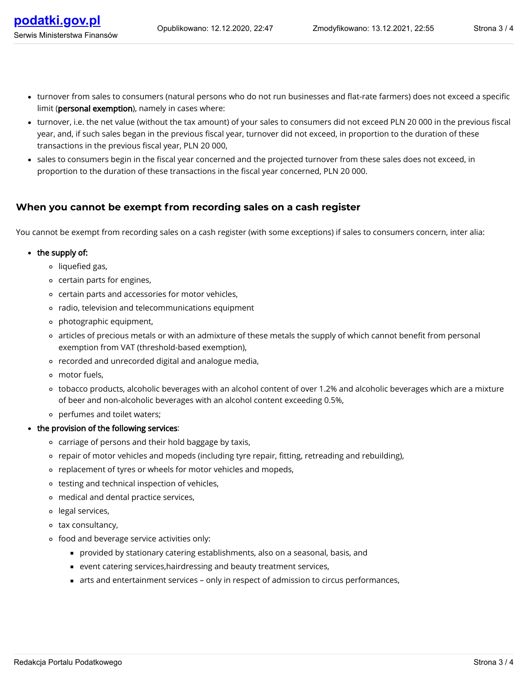- turnover, i.e. the net value (without the tax amount) of your sales to consumers did not exceed PLN 20 000 in the previous fiscal year, and, if such sales began in the previous fiscal year, turnover did not exceed, in proportion to the duration of these transactions in the previous fiscal year, PLN 20 000,
- sales to consumers begin in the fiscal year concerned and the projected turnover from these sales does not exceed, in proportion to the duration of these transactions in the fiscal year concerned, PLN 20 000.

### **When you cannot be exempt from recording sales on a cash register**

You cannot be exempt from recording sales on a cash register (with some exceptions) if sales to consumers concern, inter alia:

#### $\bullet$  the supply of:

- <sup>o</sup> liquefied gas,
- certain parts for engines,
- certain parts and accessories for motor vehicles,
- radio, television and telecommunications equipment
- photographic equipment,
- articles of precious metals or with an admixture of these metals the supply of which cannot benefit from personal exemption from VAT (threshold-based exemption),
- recorded and unrecorded digital and analogue media,
- motor fuels,
- tobacco products, alcoholic beverages with an alcohol content of over 1.2% and alcoholic beverages which are a mixture of beer and non-alcoholic beverages with an alcohol content exceeding 0.5%,
- perfumes and toilet waters;
- the provision of the following services:
	- carriage of persons and their hold baggage by taxis,
	- repair of motor vehicles and mopeds (including tyre repair, tting, retreading and rebuilding),
	- o replacement of tyres or wheels for motor vehicles and mopeds,
	- testing and technical inspection of vehicles,
	- medical and dental practice services,
	- legal services,
	- tax consultancy,
	- food and beverage service activities only:
		- provided by stationary catering establishments, also on a seasonal, basis, and
		- event catering services,hairdressing and beauty treatment services,
		- arts and entertainment services only in respect of admission to circus performances,